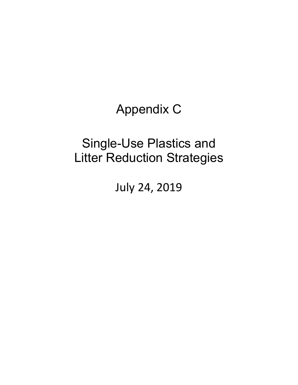Appendix C

# Single-Use Plastics and Litter Reduction Strategies

July 24, 2019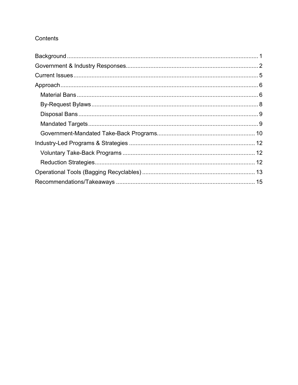### Contents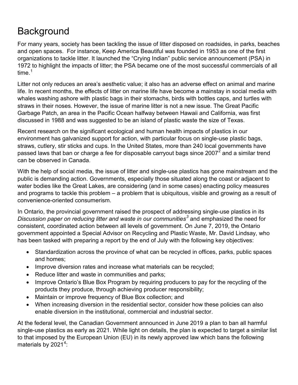# <span id="page-2-0"></span>**Background**

For many years, society has been tackling the issue of litter disposed on roadsides, in parks, beaches and open spaces. For instance, Keep America Beautiful was founded in 1953 as one of the first organizations to tackle litter. It launched the "Crying Indian" public service announcement (PSA) in 1972 to highlight the impacts of litter; the PSA became one of the most successful commercials of all time. [1](#page-16-1)

Litter not only reduces an area's aesthetic value; it also has an adverse effect on animal and marine life. In recent months, the effects of litter on marine life have become a mainstay in social media with whales washing ashore with plastic bags in their stomachs, birds with bottles caps, and turtles with straws in their noses. However, the issue of marine litter is not a new issue. The Great Pacific Garbage Patch, an area in the Pacific Ocean halfway between Hawaii and California, was first discussed in 1988 and was suggested to be an island of plastic waste the size of Texas.

Recent research on the significant ecological and human health impacts of plastics in our environment has galvanized support for action, with particular focus on single-use plastic bags, straws, cutlery, stir sticks and cups. In the United States, more than 240 local governments have passed laws that ban or charge a fee for disposable carryout bags since [2](#page-16-2)007<sup>2</sup> and a similar trend can be observed in Canada.

With the help of social media, the issue of litter and single-use plastics has gone mainstream and the public is demanding action. Governments, especially those situated along the coast or adjacent to water bodies like the Great Lakes, are considering (and in some cases) enacting policy measures and programs to tackle this problem – a problem that is ubiquitous, visible and growing as a result of convenience-oriented consumerism.

In Ontario, the provincial government raised the prospect of addressing single-use plastics in its *Discussion paper on reducing litter and waste in our communities[3](#page-16-3)* and emphasized the need for consistent, coordinated action between all levels of government. On June 7, 2019, the Ontario government appointed a Special Advisor on Recycling and Plastic Waste, Mr. David Lindsay, who has been tasked with preparing a report by the end of July with the following key objectives:

- Standardization across the province of what can be recycled in offices, parks, public spaces and homes;
- Improve diversion rates and increase what materials can be recycled;
- Reduce litter and waste in communities and parks;
- Improve Ontario's Blue Box Program by requiring producers to pay for the recycling of the products they produce, through achieving producer responsibility;
- Maintain or improve frequency of Blue Box collection; and
- When increasing diversion in the residential sector, consider how these policies can also enable diversion in the institutional, commercial and industrial sector.

At the federal level, the Canadian Government announced in June 2019 a plan to ban all harmful single-use plastics as early as 2021. While light on details, the plan is expected to target a similar list to that imposed by the European Union (EU) in its newly approved law which bans the following materials by 2021 $^4\cdot$  $^4\cdot$  $^4\cdot$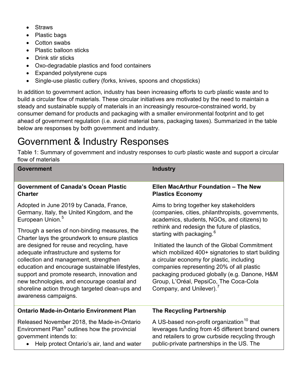- Straws
- Plastic bags
- Cotton swabs
- Plastic balloon sticks
- Drink stir sticks
- Oxo-degradable plastics and food containers
- Expanded polystyrene cups
- Single-use plastic cutlery (forks, knives, spoons and chopsticks)

In addition to government action, industry has been increasing efforts to curb plastic waste and to build a circular flow of materials. These circular initiatives are motivated by the need to maintain a steady and sustainable supply of materials in an increasingly resource-constrained world, by consumer demand for products and packaging with a smaller environmental footprint and to get ahead of government regulation (i.e. avoid material bans, packaging taxes). Summarized in the table below are responses by both government and industry.

# <span id="page-3-0"></span>Government & Industry Responses

Table 1: Summary of government and industry responses to curb plastic waste and support a circular flow of materials

| Government                                                                                                                                                                                                                                                                                                                                                                                                                                                     | <b>Industry</b>                                                                                                                                                                                                                                                                                                                  |  |
|----------------------------------------------------------------------------------------------------------------------------------------------------------------------------------------------------------------------------------------------------------------------------------------------------------------------------------------------------------------------------------------------------------------------------------------------------------------|----------------------------------------------------------------------------------------------------------------------------------------------------------------------------------------------------------------------------------------------------------------------------------------------------------------------------------|--|
| <b>Government of Canada's Ocean Plastic</b><br><b>Charter</b>                                                                                                                                                                                                                                                                                                                                                                                                  | <b>Ellen MacArthur Foundation - The New</b><br><b>Plastics Economy</b>                                                                                                                                                                                                                                                           |  |
| Adopted in June 2019 by Canada, France,<br>Germany, Italy, the United Kingdom, and the<br>European Union. <sup>5</sup>                                                                                                                                                                                                                                                                                                                                         | Aims to bring together key stakeholders<br>(companies, cities, philanthropists, governments,<br>academics, students, NGOs, and citizens) to                                                                                                                                                                                      |  |
| Through a series of non-binding measures, the<br>Charter lays the groundwork to ensure plastics<br>are designed for reuse and recycling, have<br>adequate infrastructure and systems for<br>collection and management, strengthen<br>education and encourage sustainable lifestyles,<br>support and promote research, innovation and<br>new technologies, and encourage coastal and<br>shoreline action through targeted clean-ups and<br>awareness campaigns. | rethink and redesign the future of plastics,<br>starting with packaging. <sup>6</sup>                                                                                                                                                                                                                                            |  |
|                                                                                                                                                                                                                                                                                                                                                                                                                                                                | Initiated the launch of the Global Commitment<br>which mobilized 400+ signatories to start building<br>a circular economy for plastic, including<br>companies representing 20% of all plastic<br>packaging produced globally (e.g. Danone, H&M<br>Group, L'Oréal, PepsiCo, The Coca-Cola<br>Company, and Unilever). <sup>7</sup> |  |
| <b>Ontario Made-in-Ontario Environment Plan</b>                                                                                                                                                                                                                                                                                                                                                                                                                | <b>The Recycling Partnership</b>                                                                                                                                                                                                                                                                                                 |  |
| Released November 2018, the Made-in-Ontario<br>Environment Plan <sup>8</sup> outlines how the provincial<br>government intends to:<br>Help protect Ontario's air, land and water                                                                                                                                                                                                                                                                               | A US-based non-profit organization <sup>10</sup> that<br>leverages funding from 45 different brand owners<br>and retailers to grow curbside recycling through<br>public-private partnerships in the US. The                                                                                                                      |  |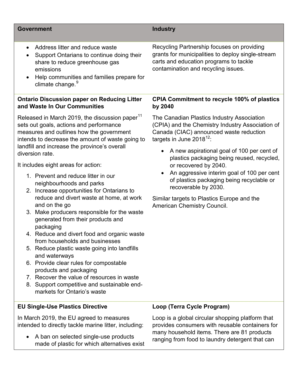### **Government Industry**

- Address litter and reduce waste
- Support Ontarians to continue doing their share to reduce greenhouse gas emissions
- Help communities and families prepare for climate change.<sup>[9](#page-17-3)</sup>

### **Ontario Discussion paper on Reducing Litter and Waste In Our Communities**

Released in March 2019, the discussion paper<sup>[11](#page-17-4)</sup> sets out goals, actions and performance measures and outlines how the government intends to decrease the amount of waste going to landfill and increase the province's overall diversion rate.

It includes eight areas for action:

- 1. Prevent and reduce litter in our neighbourhoods and parks
- 2. Increase opportunities for Ontarians to reduce and divert waste at home, at work and on the go
- 3. Make producers responsible for the waste generated from their products and packaging
- 4. Reduce and divert food and organic waste from households and businesses
- 5. Reduce plastic waste going into landfills and waterways
- 6. Provide clear rules for compostable products and packaging
- 7. Recover the value of resources in waste
- 8. Support competitive and sustainable endmarkets for Ontario's waste

### **EU Single-Use Plastics Directive**

In March 2019, the EU agreed to measures intended to directly tackle marine litter, including:

• A ban on selected single-use products made of plastic for which alternatives exist Recycling Partnership focuses on providing grants for municipalities to deploy single-stream carts and education programs to tackle contamination and recycling issues.

### **CPIA Commitment to recycle 100% of plastics by 2040**

The Canadian Plastics Industry Association (CPIA) and the Chemistry Industry Association of Canada (CIAC) announced waste reduction targets in June 2018<sup>[12](#page-17-5)</sup>:

- A new aspirational goal of 100 per cent of plastics packaging being reused, recycled, or recovered by 2040.
- An aggressive interim goal of 100 per cent of plastics packaging being recyclable or recoverable by 2030.

Similar targets to Plastics Europe and the American Chemistry Council.

### **Loop (Terra Cycle Program)**

Loop is a global circular shopping platform that provides consumers with reusable containers for many household items. There are 81 products ranging from food to laundry detergent that can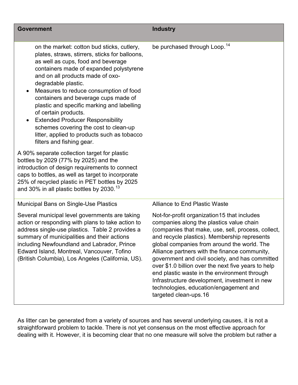| <b>Government</b>                                                                                                                                                                                                                                                                                                                                                                                                                                                                                                                                                | <b>Industry</b>                                                                                                                                                                                                                                                                                                                                                                                                                                                                                                                                                              |
|------------------------------------------------------------------------------------------------------------------------------------------------------------------------------------------------------------------------------------------------------------------------------------------------------------------------------------------------------------------------------------------------------------------------------------------------------------------------------------------------------------------------------------------------------------------|------------------------------------------------------------------------------------------------------------------------------------------------------------------------------------------------------------------------------------------------------------------------------------------------------------------------------------------------------------------------------------------------------------------------------------------------------------------------------------------------------------------------------------------------------------------------------|
| on the market: cotton bud sticks, cutlery,<br>plates, straws, stirrers, sticks for balloons,<br>as well as cups, food and beverage<br>containers made of expanded polystyrene<br>and on all products made of oxo-<br>degradable plastic.<br>Measures to reduce consumption of food<br>containers and beverage cups made of<br>plastic and specific marking and labelling<br>of certain products.<br><b>Extended Producer Responsibility</b><br>schemes covering the cost to clean-up<br>litter, applied to products such as tobacco<br>filters and fishing gear. | be purchased through Loop. <sup>14</sup>                                                                                                                                                                                                                                                                                                                                                                                                                                                                                                                                     |
| A 90% separate collection target for plastic<br>bottles by 2029 (77% by 2025) and the<br>introduction of design requirements to connect<br>caps to bottles, as well as target to incorporate<br>25% of recycled plastic in PET bottles by 2025<br>and 30% in all plastic bottles by 2030. <sup>13</sup>                                                                                                                                                                                                                                                          |                                                                                                                                                                                                                                                                                                                                                                                                                                                                                                                                                                              |
| <b>Municipal Bans on Single-Use Plastics</b>                                                                                                                                                                                                                                                                                                                                                                                                                                                                                                                     | <b>Alliance to End Plastic Waste</b>                                                                                                                                                                                                                                                                                                                                                                                                                                                                                                                                         |
| Several municipal level governments are taking<br>action or responding with plans to take action to<br>address single-use plastics. Table 2 provides a<br>summary of municipalities and their actions<br>including Newfoundland and Labrador, Prince<br>Edward Island, Montreal, Vancouver, Tofino<br>(British Columbia), Los Angeles (California, US).                                                                                                                                                                                                          | Not-for-profit organization 15 that includes<br>companies along the plastics value chain<br>(companies that make, use, sell, process, collect,<br>and recycle plastics). Membership represents<br>global companies from around the world. The<br>Alliance partners with the finance community,<br>government and civil society, and has committed<br>over \$1.0 billion over the next five years to help<br>end plastic waste in the environment through<br>Infrastructure development, investment in new<br>technologies, education/engagement and<br>targeted clean-ups.16 |

As litter can be generated from a variety of sources and has several underlying causes, it is not a straightforward problem to tackle. There is not yet consensus on the most effective approach for dealing with it. However, it is becoming clear that no one measure will solve the problem but rather a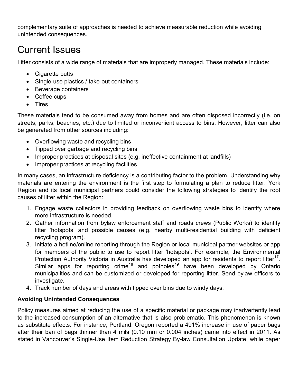complementary suite of approaches is needed to achieve measurable reduction while avoiding unintended consequences.

# <span id="page-6-0"></span>Current Issues

Litter consists of a wide range of materials that are improperly managed. These materials include:

- Cigarette butts
- Single-use plastics / take-out containers
- Beverage containers
- Coffee cups
- Tires

These materials tend to be consumed away from homes and are often disposed incorrectly (i.e. on streets, parks, beaches, etc.) due to limited or inconvenient access to bins. However, litter can also be generated from other sources including:

- Overflowing waste and recycling bins
- Tipped over garbage and recycling bins
- Improper practices at disposal sites (e.g. ineffective containment at landfills)
- Improper practices at recycling facilities

In many cases, an infrastructure deficiency is a contributing factor to the problem. Understanding why materials are entering the environment is the first step to formulating a plan to reduce litter. York Region and its local municipal partners could consider the following strategies to identify the root causes of litter within the Region:

- 1. Engage waste collectors in providing feedback on overflowing waste bins to identify where more infrastructure is needed.
- 2. Gather information from bylaw enforcement staff and roads crews (Public Works) to identify litter 'hotspots' and possible causes (e.g. nearby multi-residential building with deficient recycling program).
- 3. Initiate a hotline/online reporting through the Region or local municipal partner websites or app for members of the public to use to report litter 'hotspots'. For example, the Environmental Protection Authority Victoria in Australia has developed an app for residents to report litter<sup>17</sup>. Similar apps for reporting crime<sup>[18](#page-17-11)</sup> and potholes<sup>[19](#page-17-12)</sup> have been developed by Ontario municipalities and can be customized or developed for reporting litter. Send bylaw officers to investigate.
- 4. Track number of days and areas with tipped over bins due to windy days.

### **Avoiding Unintended Consequences**

Policy measures aimed at reducing the use of a specific material or package may inadvertently lead to the increased consumption of an alternative that is also problematic. This phenomenon is known as substitute effects. For instance, Portland, Oregon reported a 491% increase in use of paper bags after their ban of bags thinner than 4 mils (0.10 mm or 0.004 inches) came into effect in 2011. As stated in Vancouver's Single-Use Item Reduction Strategy By-law Consultation Update, while paper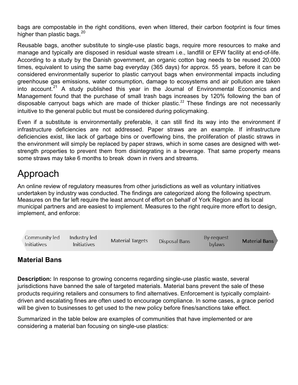bags are compostable in the right conditions, even when littered, their carbon footprint is four times higher than plastic bags.  $20$ 

Reusable bags, another substitute to single-use plastic bags, require more resources to make and manage and typically are disposed in residual waste stream i.e., landfill or EFW facility at end-of-life. According to a study by the Danish government, an organic cotton bag needs to be reused 20,000 times, equivalent to using the same bag everyday (365 days) for approx. 55 years, before it can be considered environmentally superior to plastic carryout bags when environmental impacts including greenhouse gas emissions, water consumption, damage to ecosystems and air pollution are taken into account.<sup>[21](#page-17-14)</sup> A study published this year in the Journal of Environmental Economics and Management found that the purchase of small trash bags increases by 120% following the ban of disposable carryout bags which are made of thicker plastic.<sup>[22](#page-17-15)</sup> These findings are not necessarily intuitive to the general public but must be considered during policymaking.

Even if a substitute is environmentally preferable, it can still find its way into the environment if infrastructure deficiencies are not addressed. Paper straws are an example. If infrastructure deficiencies exist, like lack of garbage bins or overflowing bins, the proliferation of plastic straws in the environment will simply be replaced by paper straws, which in some cases are designed with wetstrength properties to prevent them from disintegrating in a beverage. That same property means some straws may take 6 months to break down in rivers and streams.

## <span id="page-7-0"></span>Approach

An online review of regulatory measures from other jurisdictions as well as voluntary initiatives undertaken by industry was conducted. The findings are categorized along the following spectrum. Measures on the far left require the least amount of effort on behalf of York Region and its local municipal partners and are easiest to implement. Measures to the right require more effort to design, implement, and enforce:



### <span id="page-7-1"></span>**Material Bans**

**Description:** In response to growing concerns regarding single-use plastic waste, several jurisdictions have banned the sale of targeted materials. Material bans prevent the sale of these products requiring retailers and consumers to find alternatives. Enforcement is typically complaintdriven and escalating fines are often used to encourage compliance. In some cases, a grace period will be given to businesses to get used to the new policy before fines/sanctions take effect.

Summarized in the table below are examples of communities that have implemented or are considering a material ban focusing on single-use plastics: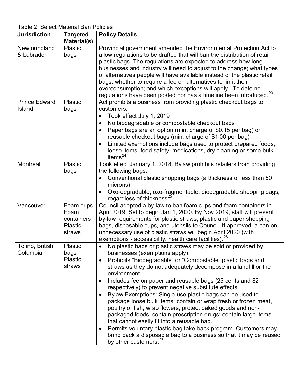Table 2: Select Material Ban Policies

| <b>Jurisdiction</b>  | <b>Targeted</b> | <b>Policy Details</b>                                                          |
|----------------------|-----------------|--------------------------------------------------------------------------------|
|                      | Material(s)     |                                                                                |
| Newfoundland         | Plastic         | Provincial government amended the Environmental Protection Act to              |
| & Labrador           | bags            | allow regulations to be drafted that will ban the distribution of retail       |
|                      |                 | plastic bags. The regulations are expected to address how long                 |
|                      |                 | businesses and industry will need to adjust to the change; what types          |
|                      |                 | of alternatives people will have available instead of the plastic retail       |
|                      |                 | bags; whether to require a fee on alternatives to limit their                  |
|                      |                 | overconsumption; and which exceptions will apply. To date no                   |
|                      |                 | regulations have been posted nor has a timeline been introduced. <sup>23</sup> |
| <b>Prince Edward</b> | Plastic         | Act prohibits a business from providing plastic checkout bags to               |
| Island               | bags            | customers.                                                                     |
|                      |                 | Took effect July 1, 2019                                                       |
|                      |                 | No biodegradable or compostable checkout bags<br>$\bullet$                     |
|                      |                 | Paper bags are an option (min. charge of \$0.15 per bag) or                    |
|                      |                 | reusable checkout bags (min. charge of \$1.00 per bag)                         |
|                      |                 | Limited exemptions include bags used to protect prepared foods,                |
|                      |                 | loose items, food safety, medications, dry cleaning or some bulk               |
|                      |                 | items <sup>24</sup>                                                            |
| Montreal             | Plastic         | Took effect January 1, 2018. Bylaw prohibits retailers from providing          |
|                      | bags            | the following bags:                                                            |
|                      |                 | Conventional plastic shopping bags (a thickness of less than 50<br>$\bullet$   |
|                      |                 | microns)                                                                       |
|                      |                 | Oxo-degradable, oxo-fragmentable, biodegradable shopping bags,                 |
|                      |                 | regardless of thickness <sup>25</sup>                                          |
| Vancouver            | Foam cups       | Council adopted a by-law to ban foam cups and foam containers in               |
|                      | Foam            | April 2019. Set to begin Jan 1, 2020. By Nov 2019, staff will present          |
|                      | containers      | by-law requirements for plastic straws, plastic and paper shopping             |
|                      | Plastic         | bags, disposable cups, and utensils to Council. If approved, a ban on          |
|                      | straws          | unnecessary use of plastic straws will begin April 2020 (with                  |
|                      |                 | exemptions - accessibility, health care facilities). <sup>26</sup>             |
| Tofino, British      | Plastic         | No plastic bags or plastic straws may be sold or provided by<br>$\bullet$      |
| Columbia             | bags            | businesses (exemptions apply)                                                  |
|                      | <b>Plastic</b>  | Prohibits "Biodegradable" or "Compostable" plastic bags and                    |
|                      | straws          | straws as they do not adequately decompose in a landfill or the                |
|                      |                 | environment                                                                    |
|                      |                 | Includes fee on paper and reusable bags (25 cents and \$2                      |
|                      |                 | respectively) to prevent negative substitute effects                           |
|                      |                 | Bylaw Exemptions: Single-use plastic bags can be used to<br>$\bullet$          |
|                      |                 | package loose bulk items; contain or wrap fresh or frozen meat,                |
|                      |                 | poultry or fish; wrap flowers; protect baked goods and non-                    |
|                      |                 | packaged foods; contain prescription drugs; contain large items                |
|                      |                 | that cannot easily fit into a reusable bag.                                    |
|                      |                 | Permits voluntary plastic bag take-back program. Customers may                 |
|                      |                 | bring back a disposable bag to a business so that it may be reused             |
|                      |                 | by other customers. <sup>27</sup>                                              |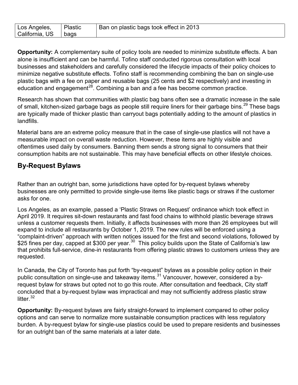| ' Los Angeles,<br>California, US | Plastic<br>bags | Ban on plastic bags took effect in 2013 |
|----------------------------------|-----------------|-----------------------------------------|
|----------------------------------|-----------------|-----------------------------------------|

**Opportunity:** A complementary suite of policy tools are needed to minimize substitute effects. A ban alone is insufficient and can be harmful. Tofino staff conducted rigorous consultation with local businesses and stakeholders and carefully considered the lifecycle impacts of their policy choices to minimize negative substitute effects. Tofino staff is recommending combining the ban on single-use plastic bags with a fee on paper and reusable bags (25 cents and \$2 respectively) and investing in education and engagement<sup>28</sup>. Combining a ban and a fee has become common practice.

Research has shown that communities with plastic bag bans often see a dramatic increase in the sale of small, kitchen-sized garbage bags as people still require liners for their garbage bins.<sup>[29](#page-17-22)</sup> These bags are typically made of thicker plastic than carryout bags potentially adding to the amount of plastics in landfills.

Material bans are an extreme policy measure that in the case of single-use plastics will not have a measurable impact on overall waste reduction. However, these items are highly visible and oftentimes used daily by consumers. Banning them sends a strong signal to consumers that their consumption habits are not sustainable. This may have beneficial effects on other lifestyle choices.

### <span id="page-9-0"></span>**By-Request Bylaws**

Rather than an outright ban, some jurisdictions have opted for by-request bylaws whereby businesses are only permitted to provide single-use items like plastic bags or straws if the customer asks for one.

Los Angeles, as an example, passed a 'Plastic Straws on Request' ordinance which took effect in April 2019. It requires sit-down restaurants and fast food chains to withhold plastic beverage straws unless a customer requests them. Initially, it affects businesses with more than 26 employees but will expand to include all restaurants by October 1, 2019. The new rules will be enforced using a "complaint-driven" approach with written notices issued for the first and second violations, followed by \$25 fines per day, capped at \$[30](#page-17-23)0 per year. $^{\rm 30}$  This policy builds upon the State of California's law that prohibits full-service, dine-in restaurants from offering plastic straws to customers unless they are requested.

In Canada, the City of Toronto has put forth "by-request" bylaws as a possible policy option in their public consultation on single-use and takeaway items.<sup>[31](#page-17-24)</sup> Vancouver, however, considered a byrequest bylaw for straws but opted not to go this route. After consultation and feedback, City staff concluded that a by-request bylaw was impractical and may not sufficiently address plastic straw litter $32$ 

**Opportunity:** By-request bylaws are fairly straight-forward to implement compared to other policy options and can serve to normalize more sustainable consumption practices with less regulatory burden. A by-request bylaw for single-use plastics could be used to prepare residents and businesses for an outright ban of the same materials at a later date.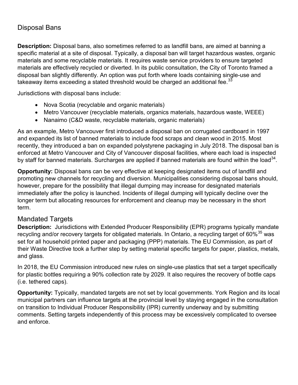### <span id="page-10-0"></span>Disposal Bans

**Description:** Disposal bans, also sometimes referred to as landfill bans, are aimed at banning a specific material at a site of disposal. Typically, a disposal ban will target hazardous wastes, organic materials and some recyclable materials. It requires waste service providers to ensure targeted materials are effectively recycled or diverted. In its public consultation, the City of Toronto framed a disposal ban slightly differently. An option was put forth where loads containing single-use and takeaway items exceeding a stated threshold would be charged an additional fee. $^{33}$  $^{33}$  $^{33}$ 

Jurisdictions with disposal bans include:

- Nova Scotia (recyclable and organic materials)
- Metro Vancouver (recyclable materials, organics materials, hazardous waste, WEEE)
- Nanaimo (C&D waste, recyclable materials, organic materials)

As an example, Metro Vancouver first introduced a disposal ban on corrugated cardboard in 1997 and expanded its list of banned materials to include food scraps and clean wood in 2015. Most recently, they introduced a ban on expanded polystyrene packaging in July 2018. The disposal ban is enforced at Metro Vancouver and City of Vancouver disposal facilities, where each load is inspected by staff for banned materials. Surcharges are applied if banned materials are found within the load<sup>[34](#page-17-27)</sup>.

**Opportunity:** Disposal bans can be very effective at keeping designated items out of landfill and promoting new channels for recycling and diversion. Municipalities considering disposal bans should, however, prepare for the possibility that illegal dumping may increase for designated materials immediately after the policy is launched. Incidents of illegal dumping will typically decline over the longer term but allocating resources for enforcement and cleanup may be necessary in the short term.

### <span id="page-10-1"></span>Mandated Targets

**Description:** Jurisdictions with Extended Producer Responsibility (EPR) programs typically mandate recycling and/or recovery targets for obligated materials. In Ontario, a recycling target of 60% $^{35}$  $^{35}$  $^{35}$  was set for all household printed paper and packaging (PPP) materials. The EU Commission, as part of their Waste Directive took a further step by setting material specific targets for paper, plastics, metals, and glass.

In 2018, the EU Commission introduced new rules on single-use plastics that set a target specifically for plastic bottles requiring a 90% collection rate by 2029. It also requires the recovery of bottle caps (i.e. tethered caps).

**Opportunity:** Typically, mandated targets are not set by local governments. York Region and its local municipal partners can influence targets at the provincial level by staying engaged in the consultation on transition to Individual Producer Responsibility (IPR) currently underway and by submitting comments. Setting targets independently of this process may be excessively complicated to oversee and enforce.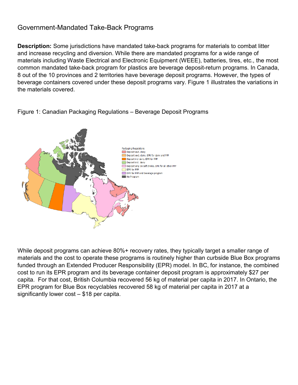### <span id="page-11-0"></span>Government-Mandated Take-Back Programs

**Description:** Some jurisdictions have mandated take-back programs for materials to combat litter and increase recycling and diversion. While there are mandated programs for a wide range of materials including Waste Electrical and Electronic Equipment (WEEE), batteries, tires, etc., the most common mandated take-back program for plastics are beverage deposit-return programs. In Canada, 8 out of the 10 provinces and 2 territories have beverage deposit programs. However, the types of beverage containers covered under these deposit programs vary. Figure 1 illustrates the variations in the materials covered.



Figure 1: Canadian Packaging Regulations – Beverage Deposit Programs

While deposit programs can achieve 80%+ recovery rates, they typically target a smaller range of materials and the cost to operate these programs is routinely higher than curbside Blue Box programs funded through an Extended Producer Responsibility (EPR) model. In BC, for instance, the combined cost to run its EPR program and its beverage container deposit program is approximately \$27 per capita. For that cost, British Columbia recovered 56 kg of material per capita in 2017. In Ontario, the EPR program for Blue Box recyclables recovered 58 kg of material per capita in 2017 at a significantly lower cost – \$18 per capita.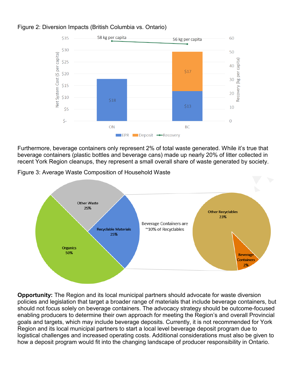

Recovery (kg per capita)

### Figure 2: Diversion Impacts (British Columbia vs. Ontario)

EPR Deposit -Recovery

Furthermore, beverage containers only represent 2% of total waste generated. While it's true that beverage containers (plastic bottles and beverage cans) made up nearly 20% of litter collected in recent York Region cleanups, they represent a small overall share of waste generated by society.

Figure 3: Average Waste Composition of Household Waste



**Opportunity:** The Region and its local municipal partners should advocate for waste diversion policies and legislation that target a broader range of materials that include beverage containers, but should not focus solely on beverage containers. The advocacy strategy should be outcome-focused enabling producers to determine their own approach for meeting the Region's and overall Provincial goals and targets, which may include beverage deposits. Currently, it is not recommended for York Region and its local municipal partners to start a local level beverage deposit program due to logistical challenges and increased operating costs. Additional considerations must also be given to how a deposit program would fit into the changing landscape of producer responsibility in Ontario.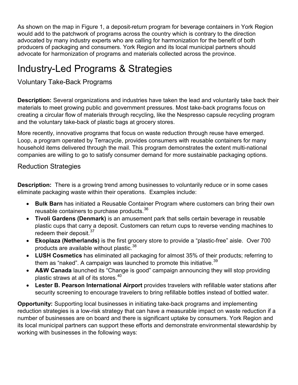As shown on the map in Figure 1, a deposit-return program for beverage containers in York Region would add to the patchwork of programs across the country which is contrary to the direction advocated by many industry experts who are calling for harmonization for the benefit of both producers of packaging and consumers. York Region and its local municipal partners should advocate for harmonization of programs and materials collected across the province.

# <span id="page-13-0"></span>Industry-Led Programs & Strategies

<span id="page-13-1"></span>Voluntary Take-Back Programs

**Description:** Several organizations and industries have taken the lead and voluntarily take back their materials to meet growing public and government pressures. Most take-back programs focus on creating a circular flow of materials through recycling, like the Nespresso capsule recycling program and the voluntary take-back of plastic bags at grocery stores.

More recently, innovative programs that focus on waste reduction through reuse have emerged. Loop, a program operated by Terracycle, provides consumers with reusable containers for many household items delivered through the mail. This program demonstrates the extent multi-national companies are willing to go to satisfy consumer demand for more sustainable packaging options.

<span id="page-13-2"></span>Reduction Strategies

**Description:** There is a growing trend among businesses to voluntarily reduce or in some cases eliminate packaging waste within their operations. Examples include:

- **Bulk Barn** has initiated a Reusable Container Program where customers can bring their own reusable containers to purchase products.<sup>[36](#page-17-29)</sup>
- **Tivoli Gardens (Denmark)** is an amusement park that sells certain beverage in reusable plastic cups that carry a deposit. Customers can return cups to reverse vending machines to redeem their deposit.<sup>[37](#page-17-30)</sup>
- **Ekoplaza (Netherlands)** is the first grocery store to provide a "plastic-free" aisle. Over 700 products are available without plastic.<sup>[38](#page-17-31)</sup>
- **LUSH Cosmetics** has eliminated all packaging for almost 35% of their products; referring to them as "naked". A campaign was launched to promote this initiative.<sup>[39](#page-17-32)</sup>
- **A&W Canada** launched its "Change is good" campaign announcing they will stop providing plastic straws at all of its stores.<sup>[40](#page-17-33)</sup>
- **Lester B. Pearson International Airport** provides travelers with refillable water stations after security screening to encourage travelers to bring refillable bottles instead of bottled water.

**Opportunity:** Supporting local businesses in initiating take-back programs and implementing reduction strategies is a low-risk strategy that can have a measurable impact on waste reduction if a number of businesses are on board and there is significant uptake by consumers. York Region and its local municipal partners can support these efforts and demonstrate environmental stewardship by working with businesses in the following ways: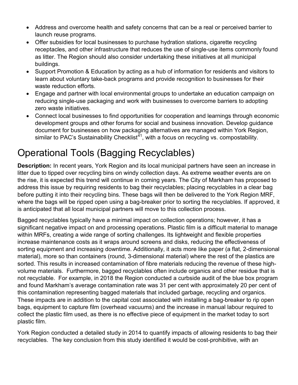- Address and overcome health and safety concerns that can be a real or perceived barrier to launch reuse programs.
- Offer subsidies for local businesses to purchase hydration stations, cigarette recycling receptacles, and other infrastructure that reduces the use of single-use items commonly found as litter. The Region should also consider undertaking these initiatives at all municipal buildings.
- Support Promotion & Education by acting as a hub of information for residents and visitors to learn about voluntary take-back programs and provide recognition to businesses for their waste reduction efforts.
- Engage and partner with local environmental groups to undertake an education campaign on reducing single-use packaging and work with businesses to overcome barriers to adopting zero waste initiatives.
- Connect local businesses to find opportunities for cooperation and learnings through economic development groups and other forums for social and business innovation. Develop guidance document for businesses on how packaging alternatives are managed within York Region, similar to PAC's Sustainability Checklist<sup> $41$ </sup>, with a focus on recycling vs. compostability.

# <span id="page-14-0"></span>Operational Tools (Bagging Recyclables)

**Description:** In recent years, York Region and its local municipal partners have seen an increase in litter due to tipped over recycling bins on windy collection days. As extreme weather events are on the rise, it is expected this trend will continue in coming years. The City of Markham has proposed to address this issue by requiring residents to bag their recyclables; placing recyclables in a clear bag before putting it into their recycling bins. These bags will then be delivered to the York Region MRF, where the bags will be ripped open using a bag-breaker prior to sorting the recyclables. If approved, it is anticipated that all local municipal partners will move to this collection process.

Bagged recyclables typically have a minimal impact on collection operations; however, it has a significant negative impact on and processing operations. Plastic film is a difficult material to manage within MRFs, creating a wide range of sorting challenges. Its lightweight and flexible properties increase maintenance costs as it wraps around screens and disks, reducing the effectiveness of sorting equipment and increasing downtime. Additionally, it acts more like paper (a flat, 2-dimensional material), more so than containers (round, 3-dimensional material) where the rest of the plastics are sorted. This results in increased contamination of fibre materials reducing the revenue of these highvolume materials. Furthermore, bagged recyclables often include organics and other residue that is not recyclable. For example, in 2018 the Region conducted a curbside audit of the blue box program and found Markham's average contamination rate was 31 per cent with approximately 20 per cent of this contamination representing bagged materials that included garbage, recycling and organics. These impacts are in addition to the capital cost associated with installing a bag-breaker to rip open bags, equipment to capture film (overhead vacuums) and the increase in manual labour required to collect the plastic film used, as there is no effective piece of equipment in the market today to sort plastic film.

York Region conducted a detailed study in 2014 to quantify impacts of allowing residents to bag their recyclables. The key conclusion from this study identified it would be cost-prohibitive, with an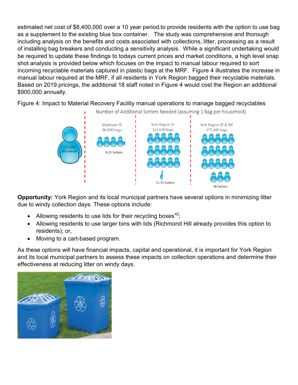estimated net cost of \$8,400,000 over a 10 year period,to provide residents with the option to use bag as a supplement to the existing blue box container. The study was comprehensive and thorough including analysis on the benefits and costs associated with collections, litter, processing as a result of installing bag breakers and conducting a sensitivity analysis. While a significant undertaking would be required to update these findings to todays current prices and market conditions, a high level snap shot analysis is provided below which focuses on the impact to manual labour required to sort incoming recyclable materials captured in plastic bags at the MRF. Figure 4 illustrates the increase in manual labour required at the MRF, if all residents in York Region bagged their recyclable materials. Based on 2019 pricings, the additional 18 staff noted in Figure 4 would cost the Region an additional \$900,000 annually.

Figure 4: Impact to Material Recovery Facility manual operations to manage bagged recyclables



**Opportunity:** York Region and its local municipal partners have several options in minimizing litter due to windy collection days. These options include:

- Allowing residents to use lids for their recycling boxes<sup>42</sup>;
- Allowing residents to use larger bins with lids (Richmond Hill already provides this option to residents); or,
- Moving to a cart-based program.

As these options will have financial impacts, capital and operational, it is important for York Region and its local municipal partners to assess these impacts on collection operations and determine their effectiveness at reducing litter on windy days.

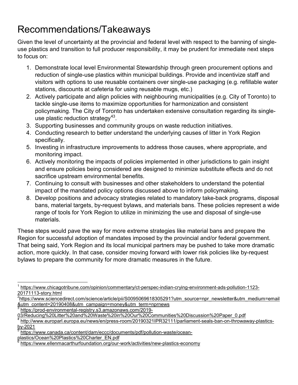# <span id="page-16-0"></span>Recommendations/Takeaways

Given the level of uncertainty at the provincial and federal level with respect to the banning of singleuse plastics and transition to full producer responsibility, it may be prudent for immediate next steps to focus on:

- 1. Demonstrate local level Environmental Stewardship through green procurement options and reduction of single-use plastics within municipal buildings. Provide and incentivize staff and visitors with options to use reusable containers over single-use packaging (e.g. refillable water stations, discounts at cafeteria for using reusable mugs, etc.)
- 2. Actively participate and align policies with neighbouring municipalities (e.g. City of Toronto) to tackle single-use items to maximize opportunities for harmonization and consistent policymaking. The City of Toronto has undertaken extensive consultation regarding its singleuse plastic reduction strategy<sup>43</sup>.
- 3. Supporting businesses and community groups on waste reduction initiatives.
- 4. Conducting research to better understand the underlying causes of litter in York Region specifically.
- 5. Investing in infrastructure improvements to address those causes, where appropriate, and monitoring impact.
- 6. Actively monitoring the impacts of policies implemented in other jurisdictions to gain insight and ensure policies being considered are designed to minimize substitute effects and do not sacrifice upstream environmental benefits.
- 7. Continuing to consult with businesses and other stakeholders to understand the potential impact of the mandated policy options discussed above to inform policymaking.
- 8. Develop positions and advocacy strategies related to mandatory take-back programs, disposal bans, material targets, by-request bylaws, and materials bans. These policies represent a wide range of tools for York Region to utilize in minimizing the use and disposal of single-use materials.

These steps would pave the way for more extreme strategies like material bans and prepare the Region for successful adoption of mandates imposed by the provincial and/or federal government. That being said, York Region and its local municipal partners may be pushed to take more dramatic action, more quickly. In that case, consider moving forward with lower risk policies like by-request bylaws to prepare the community for more dramatic measures in the future.

<span id="page-16-1"></span> $^{\text{1}}$  [https://www.chicagotribune.com/opinion/commentary/ct-perspec-indian-crying-environment-ads-pollution-1123-](https://www.chicagotribune.com/opinion/commentary/ct-perspec-indian-crying-environment-ads-pollution-1123-20171113-story.html) [20171113-story.html](https://www.chicagotribune.com/opinion/commentary/ct-perspec-indian-crying-environment-ads-pollution-1123-20171113-story.html) <sup>2</sup>

<span id="page-16-2"></span><sup>&</sup>lt;sup>2</sup>[https://www.sciencedirect.com/science/article/pii/S0095069618305291?utm\\_source=npr\\_newsletter&utm\\_medium=email](https://www.sciencedirect.com/science/article/pii/S0095069618305291?utm_source=npr_newsletter&utm_medium=email&utm_content=20190408&utm_campaign=money&utm_term=nprnews) [&utm\\_content=20190408&utm\\_campaign=money&utm\\_term=nprnews](https://www.sciencedirect.com/science/article/pii/S0095069618305291?utm_source=npr_newsletter&utm_medium=email&utm_content=20190408&utm_campaign=money&utm_term=nprnews)

<span id="page-16-3"></span>[https://prod-environmental-registry.s3.amazonaws.com/2019-](https://prod-environmental-registry.s3.amazonaws.com/2019-03/Reducing%20Litter%20and%20Waste%20in%20Our%20Communities%20Discussion%20Paper_0.pdf)

[<sup>03/</sup>Reducing%20Litter%20and%20Waste%20in%20Our%20Communities%20Discussion%20Paper\\_0.pdf](https://prod-environmental-registry.s3.amazonaws.com/2019-03/Reducing%20Litter%20and%20Waste%20in%20Our%20Communities%20Discussion%20Paper_0.pdf)

<span id="page-16-4"></span>[http://www.europarl.europa.eu/news/en/press-room/20190321IPR32111/parliament-seals-ban-on-throwaway-plastics](http://www.europarl.europa.eu/news/en/press-room/20190321IPR32111/parliament-seals-ban-on-throwaway-plastics-by-2021)[by-2021](http://www.europarl.europa.eu/news/en/press-room/20190321IPR32111/parliament-seals-ban-on-throwaway-plastics-by-2021)

<span id="page-16-5"></span>[https://www.canada.ca/content/dam/eccc/documents/pdf/pollution-waste/ocean-](https://www.canada.ca/content/dam/eccc/documents/pdf/pollution-waste/ocean-plastics/Ocean%20Plastics%20Charter_EN.pdf)

[plastics/Ocean%20Plastics%20Charter\\_EN.pdf](https://www.canada.ca/content/dam/eccc/documents/pdf/pollution-waste/ocean-plastics/Ocean%20Plastics%20Charter_EN.pdf)

<span id="page-16-6"></span><https://www.ellenmacarthurfoundation.org/our-work/activities/new-plastics-economy>